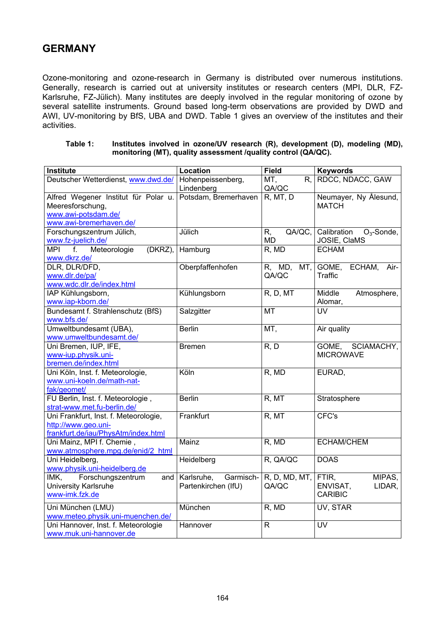# **GERMANY**

Ozone-monitoring and ozone-research in Germany is distributed over numerous institutions. Generally, research is carried out at university institutes or research centers (MPI, DLR, FZ-Karlsruhe, FZ-Jülich). Many institutes are deeply involved in the regular monitoring of ozone by several satellite instruments. Ground based long-term observations are provided by DWD and AWI, UV-monitoring by BfS, UBA and DWD. Table 1 gives an overview of the institutes and their activities.

| Institute                                                    | Field<br><b>Keywords</b><br>Location |                                        |                                     |  |
|--------------------------------------------------------------|--------------------------------------|----------------------------------------|-------------------------------------|--|
| Deutscher Wetterdienst, www.dwd.de/                          | Hohenpeissenberg,<br>Lindenberg      | RDCC, NDACC, GAW<br>MT,<br>R.<br>QA/QC |                                     |  |
| Alfred Wegener Institut für Polar u.                         | Potsdam, Bremerhaven                 | R, MT, D                               | Neumayer, Ny Ålesund,               |  |
| Meeresforschung,                                             |                                      |                                        | <b>MATCH</b>                        |  |
| www.awi-potsdam.de/                                          |                                      |                                        |                                     |  |
| www.awi-bremerhaven.de/                                      |                                      |                                        |                                     |  |
| Forschungszentrum Jülich,                                    | Jülich                               | R,                                     | QA/QC, Calibration<br>$O_3$ -Sonde, |  |
| www.fz-juelich.de/                                           |                                      | <b>MD</b>                              | JOSIE, ClaMS                        |  |
| Meteorologie<br>(DKRZ),<br><b>MPI</b><br>f.<br>www.dkrz.de/  | Hamburg                              | R, MD                                  | <b>ECHAM</b>                        |  |
| DLR, DLR/DFD,                                                | Oberpfaffenhofen<br>R, MD,           |                                        | MT, GOME,<br>ECHAM,<br>Air-         |  |
| www.dlr.de/pa/                                               |                                      | QA/QC                                  | Traffic                             |  |
| www.wdc.dlr.de/index.html                                    |                                      |                                        |                                     |  |
| IAP Kühlungsborn,                                            | Kühlungsborn                         | R, D, MT                               | Middle<br>Atmosphere,               |  |
| www.iap-kborn.de/                                            |                                      |                                        | Alomar,                             |  |
| Bundesamt f. Strahlenschutz (BfS)                            | Salzgitter                           | $\overline{\text{MT}}$                 | $\overline{\mathsf{UV}}$            |  |
| www.bfs.de/                                                  |                                      |                                        |                                     |  |
| Umweltbundesamt (UBA),                                       | <b>Berlin</b>                        | MT,                                    | Air quality                         |  |
| www.umweltbundesamt.de/                                      |                                      |                                        |                                     |  |
| Uni Bremen, IUP, IFE,                                        | <b>Bremen</b>                        | R, D                                   | SCIAMACHY,<br>GOME,                 |  |
| www-iup.physik.uni-                                          |                                      |                                        | <b>MICROWAVE</b>                    |  |
| bremen.de/index.html                                         |                                      |                                        |                                     |  |
| Uni Köln, Inst. f. Meteorologie,                             | Köln                                 | R, MD                                  | EURAD,                              |  |
| www.uni-koeln.de/math-nat-                                   |                                      |                                        |                                     |  |
| fak/geomet/                                                  |                                      |                                        |                                     |  |
| FU Berlin, Inst. f. Meteorologie,                            | <b>Berlin</b>                        | R, MT                                  | Stratosphere                        |  |
| strat-www.met.fu-berlin.de/                                  |                                      |                                        |                                     |  |
| Uni Frankfurt, Inst. f. Meteorologie,                        | Frankfurt                            | R, MT                                  | CFC's                               |  |
| http://www.geo.uni-                                          |                                      |                                        |                                     |  |
| frankfurt.de/iau/PhysAtm/index.html                          |                                      |                                        |                                     |  |
| Uni Mainz, MPI f. Chemie,                                    | R, MD<br>Mainz<br><b>ECHAM/CHEM</b>  |                                        |                                     |  |
| www.atmosphere.mpg.de/enid/2 html                            |                                      |                                        |                                     |  |
| Uni Heidelberg,                                              | Heidelberg                           | R, QA/QC                               | <b>DOAS</b>                         |  |
| www.physik.uni-heidelberg.de                                 | Karlsruhe,<br>Garmisch-              |                                        | MIPAS,                              |  |
| Forschungszentrum<br>IMK,<br>and $ $<br>University Karlsruhe | Partenkirchen (IfU)                  | R, D, MD, MT,<br>QA/QC                 | FTIR,<br>ENVISAT,<br>LIDAR,         |  |
| www-imk.fzk.de                                               |                                      |                                        | <b>CARIBIC</b>                      |  |
|                                                              |                                      |                                        |                                     |  |
| Uni München (LMU)                                            | München                              | R, MD                                  | UV, STAR                            |  |
| www.meteo.physik.uni-muenchen.de/                            |                                      |                                        |                                     |  |
| Uni Hannover, Inst. f. Meteorologie                          | Hannover                             | $\mathsf{R}$                           | UV                                  |  |
| www.muk.uni-hannover.de                                      |                                      |                                        |                                     |  |

#### **Table 1: Institutes involved in ozone/UV research (R), development (D), modeling (MD), monitoring (MT), quality assessment /quality control (QA/QC).**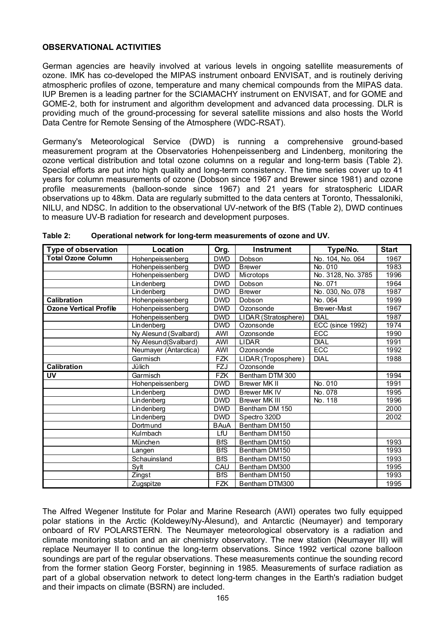# **OBSERVATIONAL ACTIVITIES**

German agencies are heavily involved at various levels in ongoing satellite measurements of ozone. IMK has co-developed the MIPAS instrument onboard ENVISAT, and is routinely deriving atmospheric profiles of ozone, temperature and many chemical compounds from the MIPAS data. IUP Bremen is a leading partner for the SCIAMACHY instrument on ENVISAT, and for GOME and GOME-2, both for instrument and algorithm development and advanced data processing. DLR is providing much of the ground-processing for several satellite missions and also hosts the World Data Centre for Remote Sensing of the Atmosphere (WDC-RSAT).

Germany's Meteorological Service (DWD) is running a comprehensive ground-based measurement program at the Observatories Hohenpeissenberg and Lindenberg, monitoring the ozone vertical distribution and total ozone columns on a regular and long-term basis (Table 2). Special efforts are put into high quality and long-term consistency. The time series cover up to 41 years for column measurements of ozone (Dobson since 1967 and Brewer since 1981) and ozone profile measurements (balloon-sonde since 1967) and 21 years for stratospheric LIDAR observations up to 48km. Data are regularly submitted to the data centers at Toronto, Thessaloniki, NILU, and NDSC. In addition to the observational UV-network of the BfS (Table 2), DWD continues to measure UV-B radiation for research and development purposes.

| <b>Type of observation</b>    | Location              | Org.        | Instrument           | Type/No.                | <b>Start</b> |
|-------------------------------|-----------------------|-------------|----------------------|-------------------------|--------------|
| <b>Total Ozone Column</b>     | Hohenpeissenberg      | <b>DWD</b>  | Dobson               | No. 104, No. 064        | 1967         |
|                               | Hohenpeissenberg      | <b>DWD</b>  | <b>B</b> rewer       | No. 010                 | 1983         |
|                               | Hohenpeissenberg      | <b>DWD</b>  | Microtops            | No. 3128, No. 3785      | 1996         |
|                               | Lindenberg            | <b>DWD</b>  | Dobson               | No. 071                 | 1964         |
|                               | Lindenberg            | <b>DWD</b>  | <b>B</b> rewer       | No. 030, No. 078        | 1987         |
| <b>Calibration</b>            | Hohenpeissenberg      | <b>DWD</b>  | Dobson               | No. 064                 | 1999         |
| <b>Ozone Vertical Profile</b> | Hohenpeissenberg      | <b>DWD</b>  | Ozonsonde            | Brewer-Mast             | 1967         |
|                               | Hohenpeissenberg      | <b>DWD</b>  | LIDAR (Stratosphere) | <b>DIAL</b>             | 1987         |
|                               | <b>Lindenberg</b>     | <b>DWD</b>  | Ozonsonde            | <b>ECC</b> (since 1992) | 1974         |
|                               | Ny Alesund (Svalbard) | <b>AWI</b>  | Ozonsonde            | ECC                     | 1990         |
|                               | Ny Alesund(Svalbard)  | <b>AWI</b>  | <b>LIDAR</b>         | <b>DIAL</b>             | 1991         |
|                               | Neumayer (Antarctica) | <b>AWI</b>  | Ozonsonde            | <b>ECC</b>              | 1992         |
|                               | Garmisch              | <b>FZK</b>  | LIDAR (Troposphere)  | <b>DIAL</b>             | 1988         |
| <b>Calibration</b>            | Jülich                | <b>FZJ</b>  | Ozonsonde            |                         |              |
| UV                            | Garmisch              | <b>FZK</b>  | Bentham DTM 300      |                         | 1994         |
|                               | Hohenpeissenberg      | <b>DWD</b>  | <b>Brewer MK II</b>  | No. 010                 | 1991         |
|                               | Lindenberg            | <b>DWD</b>  | <b>Brewer MK IV</b>  | No. 078                 | 1995         |
|                               | Lindenberg            | <b>DWD</b>  | <b>Brewer MK III</b> | No. 118                 | 1996         |
|                               | Lindenberg            | <b>DWD</b>  | Bentham DM 150       |                         | 2000         |
|                               | <b>Lindenberg</b>     | <b>DWD</b>  | Spectro 320D         |                         | 2002         |
|                               | Dortmund              | <b>BAuA</b> | Bentham DM150        |                         |              |
|                               | Kulmbach              | LfU         | Bentham DM150        |                         |              |
|                               | München               | <b>BfS</b>  | Bentham DM150        |                         | 1993         |
|                               | Langen                | <b>BfS</b>  | Bentham DM150        |                         | 1993         |
|                               | Schauinsland          | <b>BfS</b>  | Bentham DM150        |                         | 1993         |
|                               | Sylt                  | CAU         | Bentham DM300        |                         | 1995         |
|                               | Zingst                | <b>BfS</b>  | Bentham DM150        |                         | 1993         |
|                               | Zugspitze             | <b>FZK</b>  | Bentham DTM300       |                         | 1995         |

| Table 2: | Operational network for long-term measurements of ozone and UV. |
|----------|-----------------------------------------------------------------|
|----------|-----------------------------------------------------------------|

The Alfred Wegener Institute for Polar and Marine Research (AWI) operates two fully equipped polar stations in the Arctic (Koldewey/Ny-Ålesund), and Antarctic (Neumayer) and temporary onboard of RV POLARSTERN. The Neumayer meteorological observatory is a radiation and climate monitoring station and an air chemistry observatory. The new station (Neumayer III) will replace Neumayer II to continue the long-term observations. Since 1992 vertical ozone balloon soundings are part of the regular observations. These measurements continue the sounding record from the former station Georg Forster, beginning in 1985. Measurements of surface radiation as part of a global observation network to detect long-term changes in the Earth's radiation budget and their impacts on climate (BSRN) are included.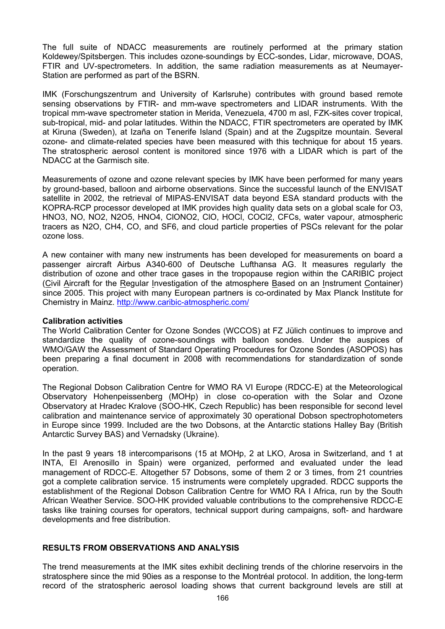The full suite of NDACC measurements are routinely performed at the primary station Koldewey/Spitsbergen. This includes ozone-soundings by ECC-sondes, Lidar, microwave, DOAS, FTIR and UV-spectrometers. In addition, the same radiation measurements as at Neumayer-Station are performed as part of the BSRN.

IMK (Forschungszentrum and University of Karlsruhe) contributes with ground based remote sensing observations by FTIR- and mm-wave spectrometers and LIDAR instruments. With the tropical mm-wave spectrometer station in Merida, Venezuela, 4700 m asl, FZK-sites cover tropical, sub-tropical, mid- and polar latitudes. Within the NDACC, FTIR spectrometers are operated by IMK at Kiruna (Sweden), at Izaña on Tenerife Island (Spain) and at the Zugspitze mountain. Several ozone- and climate-related species have been measured with this technique for about 15 years. The stratospheric aerosol content is monitored since 1976 with a LIDAR which is part of the NDACC at the Garmisch site.

Measurements of ozone and ozone relevant species by IMK have been performed for many years by ground-based, balloon and airborne observations. Since the successful launch of the ENVISAT satellite in 2002, the retrieval of MIPAS-ENVISAT data beyond ESA standard products with the KOPRA-RCP processor developed at IMK provides high quality data sets on a global scale for O3, HNO3, NO, NO2, N2O5, HNO4, ClONO2, ClO, HOCl, COCl2, CFCs, water vapour, atmospheric tracers as N2O, CH4, CO, and SF6, and cloud particle properties of PSCs relevant for the polar ozone loss.

A new container with many new instruments has been developed for measurements on board a passenger aircraft Airbus A340-600 of Deutsche Lufthansa AG. It measures regularly the distribution of ozone and other trace gases in the tropopause region within the CARIBIC project (Civil Aircraft for the Regular Investigation of the atmosphere Based on an Instrument Container) since 2005. This project with many European partners is co-ordinated by Max Planck Institute for Chemistry in Mainz. http://www.caribic-atmospheric.com/

#### **Calibration activities**

The World Calibration Center for Ozone Sondes (WCCOS) at FZ Jülich continues to improve and standardize the quality of ozone-soundings with balloon sondes. Under the auspices of WMO/GAW the Assessment of Standard Operating Procedures for Ozone Sondes (ASOPOS) has been preparing a final document in 2008 with recommendations for standardization of sonde operation.

The Regional Dobson Calibration Centre for WMO RA VI Europe (RDCC-E) at the Meteorological Observatory Hohenpeissenberg (MOHp) in close co-operation with the Solar and Ozone Observatory at Hradec Kralove (SOO-HK, Czech Republic) has been responsible for second level calibration and maintenance service of approximately 30 operational Dobson spectrophotometers in Europe since 1999. Included are the two Dobsons, at the Antarctic stations Halley Bay (British Antarctic Survey BAS) and Vernadsky (Ukraine).

In the past 9 years 18 intercomparisons (15 at MOHp, 2 at LKO, Arosa in Switzerland, and 1 at INTA, El Arenosillo in Spain) were organized, performed and evaluated under the lead management of RDCC-E. Altogether 57 Dobsons, some of them 2 or 3 times, from 21 countries got a complete calibration service. 15 instruments were completely upgraded. RDCC supports the establishment of the Regional Dobson Calibration Centre for WMO RA I Africa, run by the South African Weather Service. SOO-HK provided valuable contributions to the comprehensive RDCC-E tasks like training courses for operators, technical support during campaigns, soft- and hardware developments and free distribution.

## **RESULTS FROM OBSERVATIONS AND ANALYSIS**

The trend measurements at the IMK sites exhibit declining trends of the chlorine reservoirs in the stratosphere since the mid 90ies as a response to the Montréal protocol. In addition, the long-term record of the stratospheric aerosol loading shows that current background levels are still at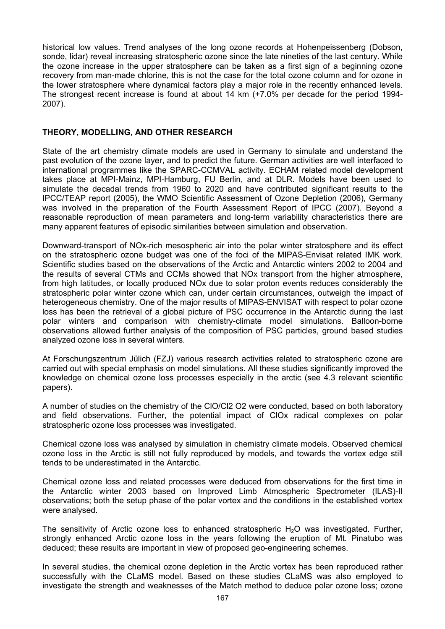historical low values. Trend analyses of the long ozone records at Hohenpeissenberg (Dobson, sonde, lidar) reveal increasing stratospheric ozone since the late nineties of the last century. While the ozone increase in the upper stratosphere can be taken as a first sign of a beginning ozone recovery from man-made chlorine, this is not the case for the total ozone column and for ozone in the lower stratosphere where dynamical factors play a major role in the recently enhanced levels. The strongest recent increase is found at about 14 km (+7.0% per decade for the period 1994- 2007).

# **THEORY, MODELLING, AND OTHER RESEARCH**

State of the art chemistry climate models are used in Germany to simulate and understand the past evolution of the ozone layer, and to predict the future. German activities are well interfaced to international programmes like the SPARC-CCMVAL activity. ECHAM related model development takes place at MPI-Mainz, MPI-Hamburg, FU Berlin, and at DLR. Models have been used to simulate the decadal trends from 1960 to 2020 and have contributed significant results to the IPCC/TEAP report (2005), the WMO Scientific Assessment of Ozone Depletion (2006), Germany was involved in the preparation of the Fourth Assessment Report of IPCC (2007). Beyond a reasonable reproduction of mean parameters and long-term variability characteristics there are many apparent features of episodic similarities between simulation and observation.

Downward-transport of NOx-rich mesospheric air into the polar winter stratosphere and its effect on the stratospheric ozone budget was one of the foci of the MIPAS-Envisat related IMK work. Scientific studies based on the observations of the Arctic and Antarctic winters 2002 to 2004 and the results of several CTMs and CCMs showed that NOx transport from the higher atmosphere, from high latitudes, or locally produced NOx due to solar proton events reduces considerably the stratospheric polar winter ozone which can, under certain circumstances, outweigh the impact of heterogeneous chemistry. One of the major results of MIPAS-ENVISAT with respect to polar ozone loss has been the retrieval of a global picture of PSC occurrence in the Antarctic during the last polar winters and comparison with chemistry-climate model simulations. Balloon-borne observations allowed further analysis of the composition of PSC particles, ground based studies analyzed ozone loss in several winters.

At Forschungszentrum Jülich (FZJ) various research activities related to stratospheric ozone are carried out with special emphasis on model simulations. All these studies significantly improved the knowledge on chemical ozone loss processes especially in the arctic (see 4.3 relevant scientific papers).

A number of studies on the chemistry of the ClO/Cl2 O2 were conducted, based on both laboratory and field observations. Further, the potential impact of ClOx radical complexes on polar stratospheric ozone loss processes was investigated.

Chemical ozone loss was analysed by simulation in chemistry climate models. Observed chemical ozone loss in the Arctic is still not fully reproduced by models, and towards the vortex edge still tends to be underestimated in the Antarctic.

Chemical ozone loss and related processes were deduced from observations for the first time in the Antarctic winter 2003 based on Improved Limb Atmospheric Spectrometer (ILAS)-II observations; both the setup phase of the polar vortex and the conditions in the established vortex were analysed.

The sensitivity of Arctic ozone loss to enhanced stratospheric  $H_2O$  was investigated. Further, strongly enhanced Arctic ozone loss in the years following the eruption of Mt. Pinatubo was deduced; these results are important in view of proposed geo-engineering schemes.

In several studies, the chemical ozone depletion in the Arctic vortex has been reproduced rather successfully with the CLaMS model. Based on these studies CLaMS was also employed to investigate the strength and weaknesses of the Match method to deduce polar ozone loss; ozone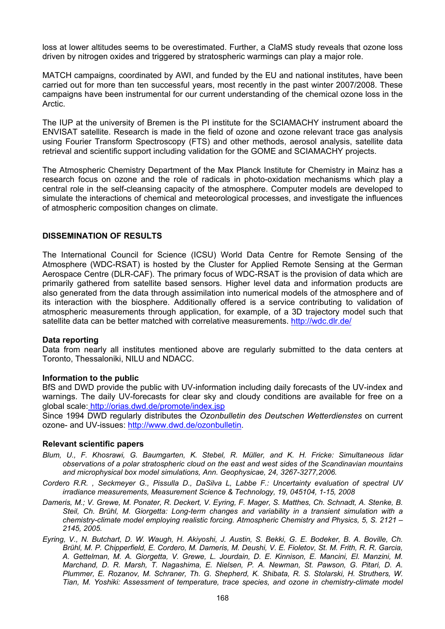loss at lower altitudes seems to be overestimated. Further, a ClaMS study reveals that ozone loss driven by nitrogen oxides and triggered by stratospheric warmings can play a major role.

MATCH campaigns, coordinated by AWI, and funded by the EU and national institutes, have been carried out for more than ten successful years, most recently in the past winter 2007/2008. These campaigns have been instrumental for our current understanding of the chemical ozone loss in the Arctic.

The IUP at the university of Bremen is the PI institute for the SCIAMACHY instrument aboard the ENVISAT satellite. Research is made in the field of ozone and ozone relevant trace gas analysis using Fourier Transform Spectroscopy (FTS) and other methods, aerosol analysis, satellite data retrieval and scientific support including validation for the GOME and SCIAMACHY projects.

The Atmospheric Chemistry Department of the Max Planck Institute for Chemistry in Mainz has a research focus on ozone and the role of radicals in photo-oxidation mechanisms which play a central role in the self-cleansing capacity of the atmosphere. Computer models are developed to simulate the interactions of chemical and meteorological processes, and investigate the influences of atmospheric composition changes on climate.

## **DISSEMINATION OF RESULTS**

The International Council for Science (ICSU) World Data Centre for Remote Sensing of the Atmosphere (WDC-RSAT) is hosted by the Cluster for Applied Remote Sensing at the German Aerospace Centre (DLR-CAF). The primary focus of WDC-RSAT is the provision of data which are primarily gathered from satellite based sensors. Higher level data and information products are also generated from the data through assimilation into numerical models of the atmosphere and of its interaction with the biosphere. Additionally offered is a service contributing to validation of atmospheric measurements through application, for example, of a 3D trajectory model such that satellite data can be better matched with correlative measurements. http://wdc.dlr.de/

#### **Data reporting**

Data from nearly all institutes mentioned above are regularly submitted to the data centers at Toronto, Thessaloniki, NILU and NDACC.

#### **Information to the public**

BfS and DWD provide the public with UV-information including daily forecasts of the UV-index and warnings. The daily UV-forecasts for clear sky and cloudy conditions are available for free on a global scale: <http://orias.dwd.de/promote/index.jsp>

Since 1994 DWD regularly distributes the *Ozonbulletin des Deutschen Wetterdienstes* on current ozone- and UV-issues: http://www.dwd.de/ozonbulletin.

#### **Relevant scientific papers**

- *Blum, U., F. Khosrawi, G. Baumgarten, K. Stebel, R. Müller, and K. H. Fricke: Simultaneous lidar observations of a polar stratospheric cloud on the east and west sides of the Scandinavian mountains and microphysical box model simulations, Ann. Geophysicae, 24, 3267-3277,2006.*
- *Cordero R.R. , Seckmeyer G., Pissulla D., DaSilva L, Labbe F.: Uncertainty evaluation of spectral UV irradiance measurements, Measurement Science & Technology, 19, 045104, 1-15, 2008*
- *Dameris, M.; V. Grewe, M. Ponater, R. Deckert, V. Eyring, F. Mager, S. Matthes, Ch. Schnadt, A. Stenke, B. Steil, Ch. Brühl, M. Giorgetta: Long-term changes and variability in a transient simulation with a chemistry-climate model employing realistic forcing. Atmospheric Chemistry and Physics, 5, S. 2121 – 2145, 2005.*
- *Eyring, V., N. Butchart, D. W. Waugh, H. Akiyoshi, J. Austin, S. Bekki, G. E. Bodeker, B. A. Boville, Ch. Brühl, M. P. Chipperfield, E. Cordero, M. Dameris, M. Deushi, V. E. Fioletov, St. M. Frith, R. R. Garcia, A. Gettelman, M. A. Giorgetta, V. Grewe, L. Jourdain, D. E. Kinnison, E. Mancini, El. Manzini, M. Marchand, D. R. Marsh, T. Nagashima, E. Nielsen, P. A. Newman, St. Pawson, G. Pitari, D. A. Plummer, E. Rozanov, M. Schraner, Th. G. Shepherd, K. Shibata, R. S. Stolarski, H. Struthers, W. Tian, M. Yoshiki: Assessment of temperature, trace species, and ozone in chemistry-climate model*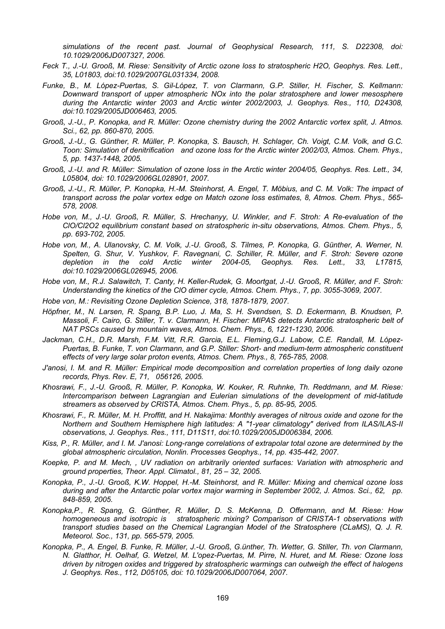*simulations of the recent past. Journal of Geophysical Research, 111, S. D22308, doi: 10.1029/2006JD007327, 2006.* 

- *Feck T., J.-U. Grooß, M. Riese: Sensitivity of Arctic ozone loss to stratospheric H2O, Geophys. Res. Lett., 35, L01803, doi:10.1029/2007GL031334, 2008.*
- *Funke, B., M. López-Puertas, S. Gil-López, T. von Clarmann, G.P. Stiller, H. Fischer, S. Kellmann: Downward transport of upper atmospheric NOx into the polar stratosphere and lower mesosphere during the Antarctic winter 2003 and Arctic winter 2002/2003, J. Geophys. Res., 110, D24308, doi:10.1029/2005JD006463, 2005.*
- *Grooß, J.-U., P. Konopka, and R. Müller: Ozone chemistry during the 2002 Antarctic vortex split, J. Atmos. Sci., 62, pp. 860-870, 2005.*
- *Grooß, J.-U., G. Günther, R. Müller, P. Konopka, S. Bausch, H. Schlager, Ch. Voigt, C.M. Volk, and G.C. Toon: Simulation of denitrification and ozone loss for the Arctic winter 2002/03, Atmos. Chem. Phys., 5, pp. 1437-1448, 2005.*
- *Grooß, J.-U. and R. Müller: Simulation of ozone loss in the Arctic winter 2004/05, Geophys. Res. Lett., 34, L05804, doi: 10.1029/2006GL028901, 2007.*
- *Grooß, J.-U., R. Müller, P. Konopka, H.-M. Steinhorst, A. Engel, T. Möbius, and C. M. Volk: The impact of transport across the polar vortex edge on Match ozone loss estimates, 8, Atmos. Chem. Phys., 565- 578, 2008.*
- *Hobe von, M., J.-U. Grooß, R. Müller, S. Hrechanyy, U. Winkler, and F. Stroh: A Re-evaluation of the ClO/Cl2O2 equilibrium constant based on stratospheric in-situ observations, Atmos. Chem. Phys., 5, pp. 693-702, 2005.*
- *Hobe von, M., A. Ulanovsky, C. M. Volk, J.-U. Grooß, S. Tilmes, P. Konopka, G. Günther, A. Werner, N. Spelten, G. Shur, V. Yushkov, F. Ravegnani, C. Schiller, R. Müller, and F. Stroh: Severe ozone depletion in the cold Arctic winter 2004-05, Geophys. Res. Lett., 33, L17815, doi:10.1029/2006GL026945, 2006.*
- *Hobe von, M., R.J. Salawitch, T. Canty, H. Keller-Rudek, G. Moortgat, J.-U. Grooß, R. Müller, and F. Stroh: Understanding the kinetics of the ClO dimer cycle, Atmos. Chem. Phys., 7, pp. 3055-3069, 2007.*
- *Hobe von, M.: Revisiting Ozone Depletion Science, 318, 1878-1879, 2007.*
- *Höpfner, M., N. Larsen, R. Spang, B.P. Luo, J. Ma, S. H. Svendsen, S. D. Eckermann, B. Knudsen, P. Massoli, F. Cairo, G. Stiller, T. v. Clarmann, H. Fischer: MIPAS detects Antarctic stratospheric belt of NAT PSCs caused by mountain waves, Atmos. Chem. Phys., 6, 1221-1230, 2006.*
- *Jackman, C.H., D.R. Marsh, F.M. Vitt, R.R. Garcia, E.L. Fleming,G.J. Labow, C.E. Randall, M. López-Puertas, B. Funke, T. von Clarmann, and G.P. Stiller: Short- and medium-term atmospheric constituent effects of very large solar proton events, Atmos. Chem. Phys., 8, 765-785, 2008.*
- *J'anosi, I. M. and R. Müller: Empirical mode decomposition and correlation properties of long daily ozone records, Phys. Rev. E, 71, 056126, 2005.*
- *Khosrawi, F., J.-U. Grooß, R. Müller, P. Konopka, W. Kouker, R. Ruhnke, Th. Reddmann, and M. Riese: Intercomparison between Lagrangian and Eulerian simulations of the development of mid-latitude streamers as observed by CRISTA, Atmos. Chem. Phys., 5, pp. 85-95, 2005.*
- *Khosrawi, F., R. Müller, M. H. Proffitt, and H. Nakajima: Monthly averages of nitrous oxide and ozone for the Northern and Southern Hemisphere high latitudes: A "1-year climatology" derived from ILAS/ILAS-II observations, J. Geophys. Res., 111, D11S11, doi:10.1029/2005JD006384, 2006.*
- *Kiss, P., R. Müller, and I. M. J'anosi: Long-range correlations of extrapolar total ozone are determined by the global atmospheric circulation, Nonlin. Processes Geophys., 14, pp. 435-442, 2007.*
- *Koepke, P. and M. Mech, , UV radiation on arbitrarily oriented surfaces: Variation with atmospheric and ground properties, Theor. Appl. Climatol., 81, 25 – 32, 2005.*
- *Konopka, P., J.-U. Grooß, K.W. Hoppel, H.-M. Steinhorst, and R. Müller: Mixing and chemical ozone loss during and after the Antarctic polar vortex major warming in September 2002, J. Atmos. Sci., 62, pp. 848-859, 2005.*
- *Konopka,P., R. Spang, G. Günther, R. Müller, D. S. McKenna, D. Offermann, and M. Riese: How homogeneous and isotropic is stratospheric mixing? Comparison of CRISTA-1 observations with transport studies based on the Chemical Lagrangian Model of the Stratosphere (CLaMS), Q. J. R. Meteorol. Soc., 131, pp. 565-579, 2005.*
- *Konopka, P., A. Engel, B. Funke, R. Müller, J.-U. Grooß, G.ünther, Th. Wetter, G. Stiller, Th. von Clarmann, N. Glatthor, H. Oelhaf, G. Wetzel, M. L'opez-Puertas, M. Pirre, N. Huret, and M. Riese: Ozone loss driven by nitrogen oxides and triggered by stratospheric warmings can outweigh the effect of halogens J. Geophys. Res., 112, D05105, doi: 10.1029/2006JD007064, 2007.*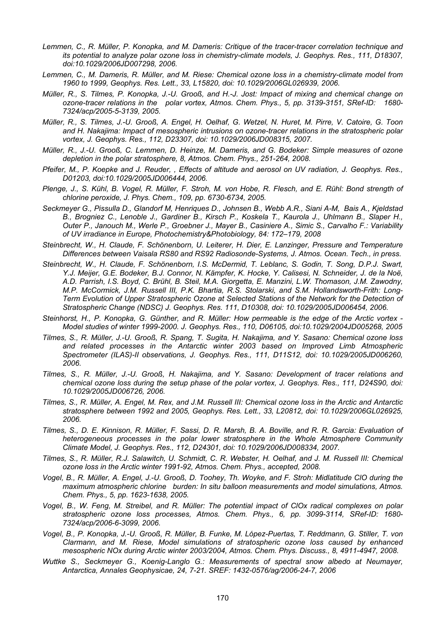- *Lemmen, C., R. Müller, P. Konopka, and M. Dameris: Critique of the tracer-tracer correlation technique and its potential to analyze polar ozone loss in chemistry-climate models, J. Geophys. Res., 111, D18307, doi:10.1029/2006JD007298, 2006.*
- *Lemmen, C., M. Dameris, R. Müller, and M. Riese: Chemical ozone loss in a chemistry-climate model from 1960 to 1999, Geophys. Res. Lett., 33, L15820, doi: 10.1029/2006GL026939, 2006.*
- *Müller, R., S. Tilmes, P. Konopka, J.-U. Grooß, and H.-J. Jost: Impact of mixing and chemical change on ozone-tracer relations in the polar vortex, Atmos. Chem. Phys., 5, pp. 3139-3151, SRef-ID: 1680- 7324/acp/2005-5-3139, 2005.*
- *Müller, R., S. Tilmes, J.-U. Grooß, A. Engel, H. Oelhaf, G. Wetzel, N. Huret, M. Pirre, V. Catoire, G. Toon and H. Nakajima: Impact of mesospheric intrusions on ozone-tracer relations in the stratospheric polar vortex, J. Geophys. Res., 112, D23307, doi: 10.1029/2006JD008315, 2007.*
- *Müller, R., J.-U. Grooß, C. Lemmen, D. Heinze, M. Dameris, and G. Bodeker: Simple measures of ozone*  depletion in the polar stratosphere, 8, Atmos. Chem. Phys., 251-264, 2008.
- *Pfeifer, M., P. Koepke and J. Reuder, , Effects of altitude and aerosol on UV radiation, J. Geophys. Res., D01203, doi:10.1029/2005JD006444, 2006.*
- *Plenge, J., S. Kühl, B. Vogel, R. Müller, F. Stroh, M. von Hobe, R. Flesch, and E. Rühl: Bond strength of chlorine peroxide, J. Phys. Chem., 109, pp. 6730-6734, 2005.*
- *Seckmeyer G., Pissulla D., Glandorf M, Henriques D., Johnsen B., Webb A.R., Siani A-M, Bais A., Kjeldstad B., Brogniez C., Lenoble J., Gardiner B., Kirsch P., Koskela T., Kaurola J., Uhlmann B., Slaper H., Outer P., Janouch M., Werle P., Groebner J., Mayer B., Casiniere A., Simic S., Carvalho F.: Variability of UV irradiance in Europe, Photochemistry&Photobiology, 84: 172–179, 2008*
- *Steinbrecht, W., H. Claude, F. Schönenborn, U. Leiterer, H. Dier, E. Lanzinger, Pressure and Temperature Differences between Vaisala RS80 and RS92 Radiosonde-Systems, J. Atmos. Ocean. Tech., in press.*
- *Steinbrecht, W., H. Claude, F. Schönenborn, I.S. McDermid, T. Leblanc, S. Godin, T. Song, D.P.J. Swart, Y.J. Meijer, G.E. Bodeker, B.J. Connor, N. Kämpfer, K. Hocke, Y. Calisesi, N. Schneider, J. de la Noë, A.D. Parrish, I.S. Boyd, C. Brühl, B. Steil, M.A. Giorgetta, E. Manzini, L.W. Thomason, J.M. Zawodny, M.P. McCormick, J.M. Russell III, P.K. Bhartia, R.S. Stolarski, and S.M. Hollandsworth-Frith: Long-Term Evolution of Upper Stratospheric Ozone at Selected Stations of the Network for the Detection of Stratospheric Change (NDSC) J. Geophys. Res. 111, D10308, doi: 10.1029/2005JD006454, 2006.*
- *Steinhorst, H., P. Konopka, G. Günther, and R. Müller: How permeable is the edge of the Arctic vortex Model studies of winter 1999-2000. J. Geophys. Res., 110, D06105, doi:10.1029/2004JD005268, 2005*
- *Tilmes, S., R. Müller, J.-U. Grooß, R. Spang, T. Sugita, H. Nakajima, and Y. Sasano: Chemical ozone loss and related processes in the Antarctic winter 2003 based on Improved Limb Atmospheric Spectrometer (ILAS)-II observations, J. Geophys. Res., 111, D11S12, doi: 10.1029/2005JD006260, 2006.*
- *Tilmes, S., R. Müller, J.-U. Grooß, H. Nakajima, and Y. Sasano: Development of tracer relations and chemical ozone loss during the setup phase of the polar vortex, J. Geophys. Res., 111, D24S90, doi: 10.1029/2005JD006726, 2006.*
- *Tilmes, S., R. Müller, A. Engel, M. Rex, and J.M. Russell III: Chemical ozone loss in the Arctic and Antarctic stratosphere between 1992 and 2005, Geophys. Res. Lett., 33, L20812, doi: 10.1029/2006GL026925, 2006.*
- *Tilmes, S., D. E. Kinnison, R. Müller, F. Sassi, D. R. Marsh, B. A. Boville, and R. R. Garcia: Evaluation of heterogeneous processes in the polar lower stratosphere in the Whole Atmosphere Community Climate Model, J. Geophys. Res., 112, D24301, doi: 10.1029/2006JD008334, 2007.*
- *Tilmes, S., R. Müller, R.J. Salawitch, U. Schmidt, C. R. Webster, H. Oelhaf, and J. M. Russell III: Chemical ozone loss in the Arctic winter 1991-92, Atmos. Chem. Phys., accepted, 2008.*
- *Vogel, B., R. Müller, A. Engel, J.-U. Grooß, D. Toohey, Th. Woyke, and F. Stroh: Midlatitude ClO during the maximum atmospheric chlorine burden: In situ balloon measurements and model simulations, Atmos. Chem. Phys., 5, pp. 1623-1638, 2005.*
- *Vogel, B., W. Feng, M. Streibel, and R. Müller: The potential impact of ClOx radical complexes on polar stratospheric ozone loss processes, Atmos. Chem. Phys., 6, pp. 3099-3114, SRef-ID: 1680- 7324/acp/2006-6-3099, 2006.*
- *Vogel, B., P. Konopka, J.-U. Grooß, R. Müller, B. Funke, M. López-Puertas, T. Reddmann, G. Stiller, T. von Clarmann, and M. Riese, Model simulations of stratospheric ozone loss caused by enhanced mesospheric NOx during Arctic winter 2003/2004, Atmos. Chem. Phys. Discuss., 8, 4911-4947, 2008.*
- *Wuttke S., Seckmeyer G., Koenig-Langlo G.: Measurements of spectral snow albedo at Neumayer, Antarctica, Annales Geophysicae, 24, 7-21. SREF: 1432-0576/ag/2006-24-7, 2006*